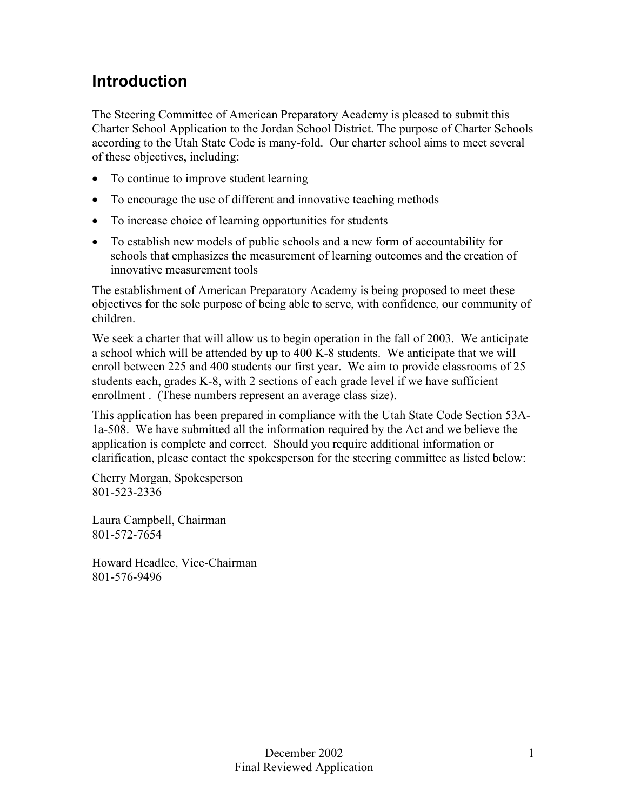### **Introduction**

The Steering Committee of American Preparatory Academy is pleased to submit this Charter School Application to the Jordan School District. The purpose of Charter Schools according to the Utah State Code is many-fold. Our charter school aims to meet several of these objectives, including:

- To continue to improve student learning
- To encourage the use of different and innovative teaching methods
- To increase choice of learning opportunities for students
- To establish new models of public schools and a new form of accountability for schools that emphasizes the measurement of learning outcomes and the creation of innovative measurement tools

The establishment of American Preparatory Academy is being proposed to meet these objectives for the sole purpose of being able to serve, with confidence, our community of children.

We seek a charter that will allow us to begin operation in the fall of 2003. We anticipate a school which will be attended by up to 400 K-8 students. We anticipate that we will enroll between 225 and 400 students our first year. We aim to provide classrooms of 25 students each, grades K-8, with 2 sections of each grade level if we have sufficient enrollment . (These numbers represent an average class size).

This application has been prepared in compliance with the Utah State Code Section 53A-1a-508. We have submitted all the information required by the Act and we believe the application is complete and correct. Should you require additional information or clarification, please contact the spokesperson for the steering committee as listed below:

Cherry Morgan, Spokesperson 801-523-2336

Laura Campbell, Chairman 801-572-7654

Howard Headlee, Vice-Chairman 801-576-9496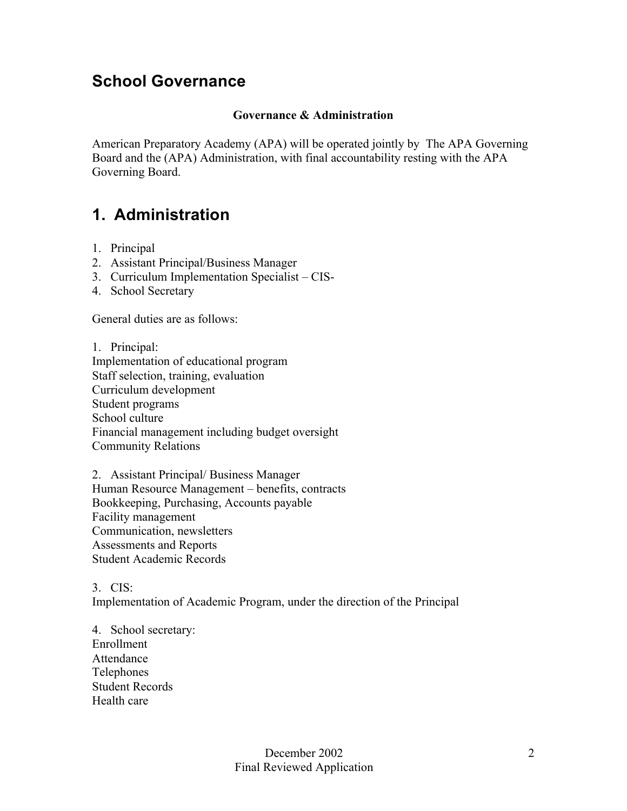### **School Governance**

#### **Governance & Administration**

American Preparatory Academy (APA) will be operated jointly by The APA Governing Board and the (APA) Administration, with final accountability resting with the APA Governing Board.

### **1. Administration**

- 1. Principal
- 2. Assistant Principal/Business Manager
- 3. Curriculum Implementation Specialist CIS-
- 4. School Secretary

General duties are as follows:

1. Principal: Implementation of educational program Staff selection, training, evaluation Curriculum development Student programs School culture Financial management including budget oversight Community Relations

2. Assistant Principal/ Business Manager Human Resource Management – benefits, contracts Bookkeeping, Purchasing, Accounts payable Facility management Communication, newsletters Assessments and Reports Student Academic Records

3. CIS: Implementation of Academic Program, under the direction of the Principal

4. School secretary: Enrollment Attendance Telephones Student Records Health care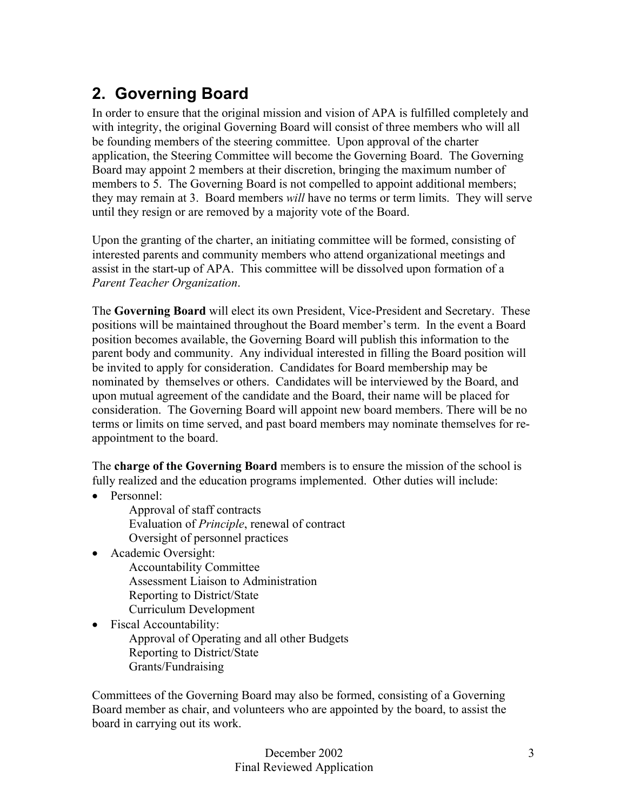### **2. Governing Board**

In order to ensure that the original mission and vision of APA is fulfilled completely and with integrity, the original Governing Board will consist of three members who will all be founding members of the steering committee. Upon approval of the charter application, the Steering Committee will become the Governing Board. The Governing Board may appoint 2 members at their discretion, bringing the maximum number of members to 5. The Governing Board is not compelled to appoint additional members; they may remain at 3. Board members *will* have no terms or term limits. They will serve until they resign or are removed by a majority vote of the Board.

Upon the granting of the charter, an initiating committee will be formed, consisting of interested parents and community members who attend organizational meetings and assist in the start-up of APA. This committee will be dissolved upon formation of a *Parent Teacher Organization*.

The **Governing Board** will elect its own President, Vice-President and Secretary. These positions will be maintained throughout the Board member's term. In the event a Board position becomes available, the Governing Board will publish this information to the parent body and community. Any individual interested in filling the Board position will be invited to apply for consideration. Candidates for Board membership may be nominated by themselves or others. Candidates will be interviewed by the Board, and upon mutual agreement of the candidate and the Board, their name will be placed for consideration. The Governing Board will appoint new board members. There will be no terms or limits on time served, and past board members may nominate themselves for reappointment to the board.

The **charge of the Governing Board** members is to ensure the mission of the school is fully realized and the education programs implemented. Other duties will include:

- Personnel:
	- Approval of staff contracts Evaluation of *Principle*, renewal of contract Oversight of personnel practices
- Academic Oversight:
	- Accountability Committee Assessment Liaison to Administration Reporting to District/State Curriculum Development
- Fiscal Accountability: Approval of Operating and all other Budgets Reporting to District/State Grants/Fundraising

Committees of the Governing Board may also be formed, consisting of a Governing Board member as chair, and volunteers who are appointed by the board, to assist the board in carrying out its work.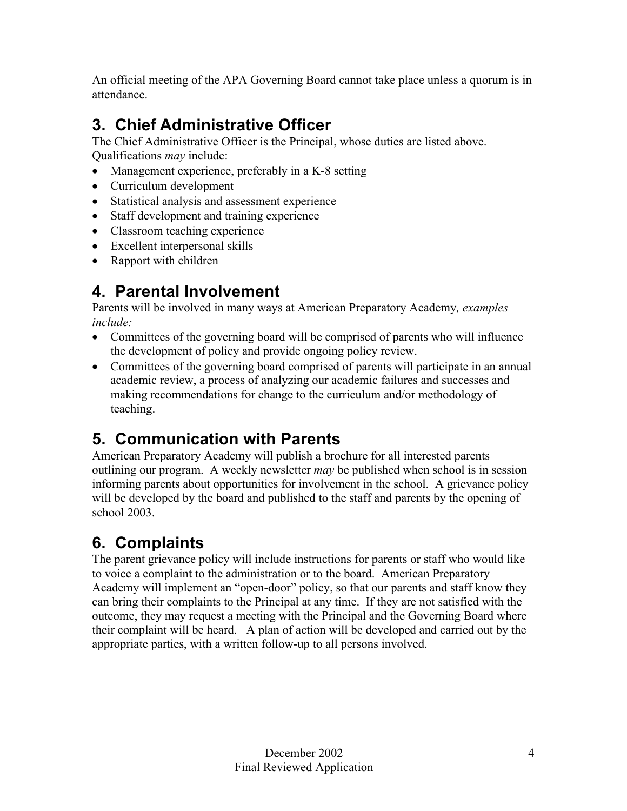An official meeting of the APA Governing Board cannot take place unless a quorum is in attendance.

# **3. Chief Administrative Officer**

The Chief Administrative Officer is the Principal, whose duties are listed above. Qualifications *may* include:

- Management experience, preferably in a K-8 setting
- Curriculum development
- Statistical analysis and assessment experience
- Staff development and training experience
- Classroom teaching experience
- Excellent interpersonal skills
- Rapport with children

# **4. Parental Involvement**

Parents will be involved in many ways at American Preparatory Academy*, examples include:*

- Committees of the governing board will be comprised of parents who will influence the development of policy and provide ongoing policy review.
- Committees of the governing board comprised of parents will participate in an annual academic review, a process of analyzing our academic failures and successes and making recommendations for change to the curriculum and/or methodology of teaching.

# **5. Communication with Parents**

American Preparatory Academy will publish a brochure for all interested parents outlining our program. A weekly newsletter *may* be published when school is in session informing parents about opportunities for involvement in the school. A grievance policy will be developed by the board and published to the staff and parents by the opening of school 2003.

# **6. Complaints**

The parent grievance policy will include instructions for parents or staff who would like to voice a complaint to the administration or to the board. American Preparatory Academy will implement an "open-door" policy, so that our parents and staff know they can bring their complaints to the Principal at any time. If they are not satisfied with the outcome, they may request a meeting with the Principal and the Governing Board where their complaint will be heard. A plan of action will be developed and carried out by the appropriate parties, with a written follow-up to all persons involved.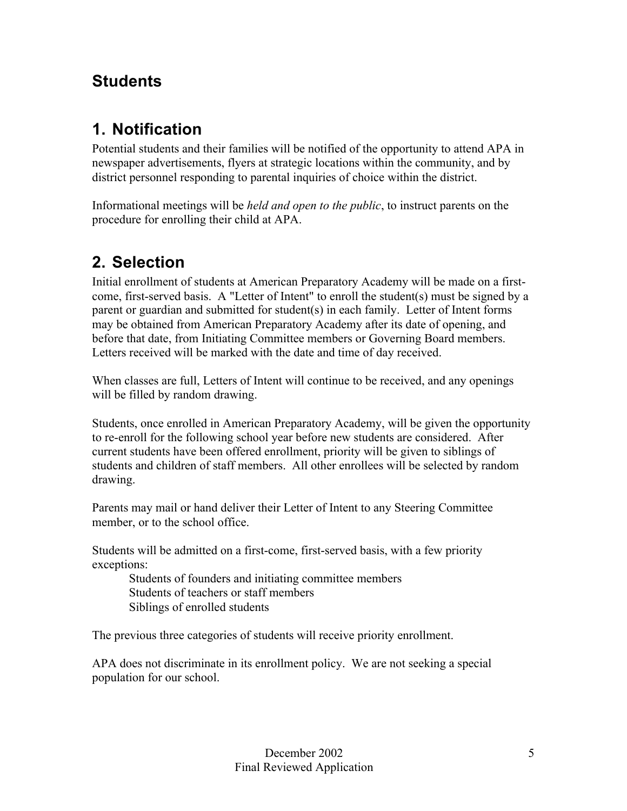### **Students**

## **1. Notification**

Potential students and their families will be notified of the opportunity to attend APA in newspaper advertisements, flyers at strategic locations within the community, and by district personnel responding to parental inquiries of choice within the district.

Informational meetings will be *held and open to the public*, to instruct parents on the procedure for enrolling their child at APA.

### **2. Selection**

Initial enrollment of students at American Preparatory Academy will be made on a firstcome, first-served basis. A "Letter of Intent" to enroll the student(s) must be signed by a parent or guardian and submitted for student(s) in each family. Letter of Intent forms may be obtained from American Preparatory Academy after its date of opening, and before that date, from Initiating Committee members or Governing Board members. Letters received will be marked with the date and time of day received.

When classes are full, Letters of Intent will continue to be received, and any openings will be filled by random drawing.

Students, once enrolled in American Preparatory Academy, will be given the opportunity to re-enroll for the following school year before new students are considered. After current students have been offered enrollment, priority will be given to siblings of students and children of staff members. All other enrollees will be selected by random drawing.

Parents may mail or hand deliver their Letter of Intent to any Steering Committee member, or to the school office.

Students will be admitted on a first-come, first-served basis, with a few priority exceptions:

Students of founders and initiating committee members Students of teachers or staff members Siblings of enrolled students

The previous three categories of students will receive priority enrollment.

APA does not discriminate in its enrollment policy. We are not seeking a special population for our school.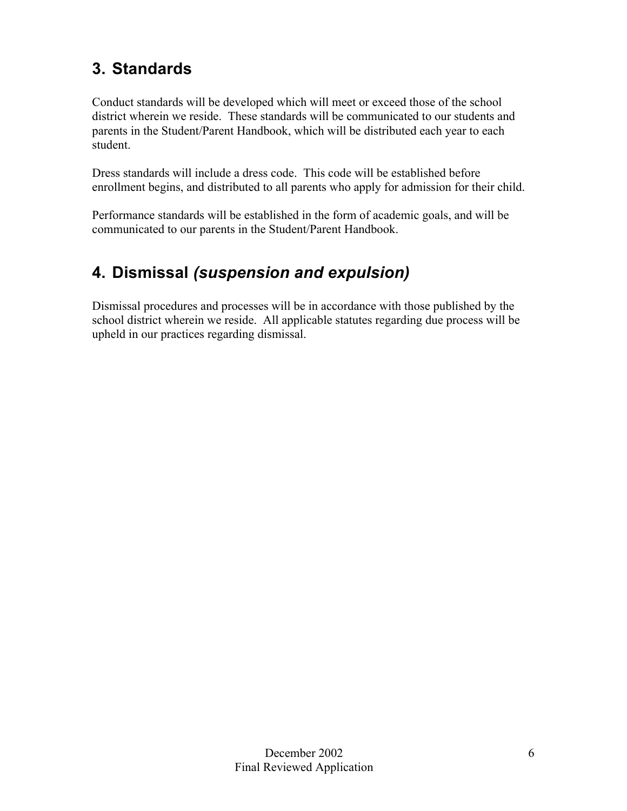## **3. Standards**

Conduct standards will be developed which will meet or exceed those of the school district wherein we reside. These standards will be communicated to our students and parents in the Student/Parent Handbook, which will be distributed each year to each student.

Dress standards will include a dress code. This code will be established before enrollment begins, and distributed to all parents who apply for admission for their child.

Performance standards will be established in the form of academic goals, and will be communicated to our parents in the Student/Parent Handbook.

## **4. Dismissal** *(suspension and expulsion)*

Dismissal procedures and processes will be in accordance with those published by the school district wherein we reside. All applicable statutes regarding due process will be upheld in our practices regarding dismissal.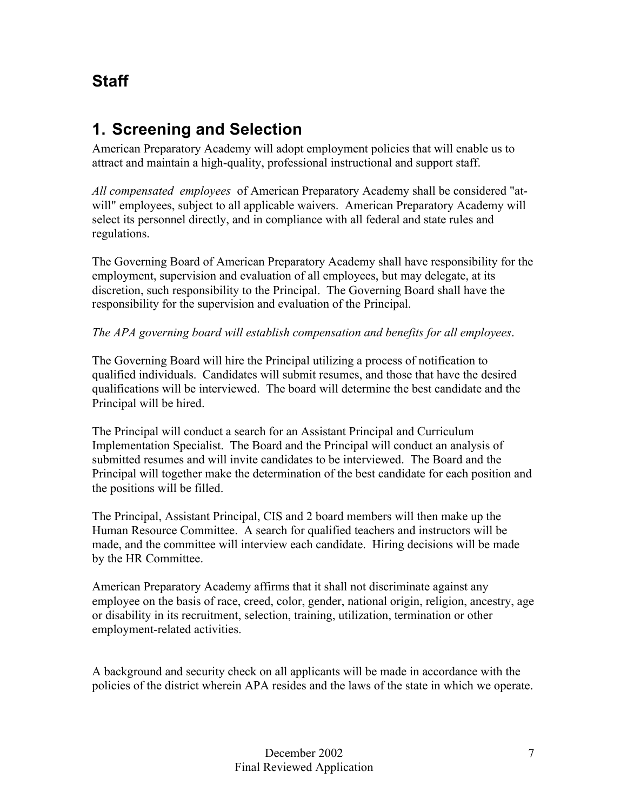### **Staff**

### **1. Screening and Selection**

American Preparatory Academy will adopt employment policies that will enable us to attract and maintain a high-quality, professional instructional and support staff.

*All compensated employees* of American Preparatory Academy shall be considered "atwill" employees, subject to all applicable waivers. American Preparatory Academy will select its personnel directly, and in compliance with all federal and state rules and regulations.

The Governing Board of American Preparatory Academy shall have responsibility for the employment, supervision and evaluation of all employees, but may delegate, at its discretion, such responsibility to the Principal. The Governing Board shall have the responsibility for the supervision and evaluation of the Principal.

#### *The APA governing board will establish compensation and benefits for all employees*.

The Governing Board will hire the Principal utilizing a process of notification to qualified individuals. Candidates will submit resumes, and those that have the desired qualifications will be interviewed. The board will determine the best candidate and the Principal will be hired.

The Principal will conduct a search for an Assistant Principal and Curriculum Implementation Specialist. The Board and the Principal will conduct an analysis of submitted resumes and will invite candidates to be interviewed. The Board and the Principal will together make the determination of the best candidate for each position and the positions will be filled.

The Principal, Assistant Principal, CIS and 2 board members will then make up the Human Resource Committee. A search for qualified teachers and instructors will be made, and the committee will interview each candidate. Hiring decisions will be made by the HR Committee.

American Preparatory Academy affirms that it shall not discriminate against any employee on the basis of race, creed, color, gender, national origin, religion, ancestry, age or disability in its recruitment, selection, training, utilization, termination or other employment-related activities.

A background and security check on all applicants will be made in accordance with the policies of the district wherein APA resides and the laws of the state in which we operate.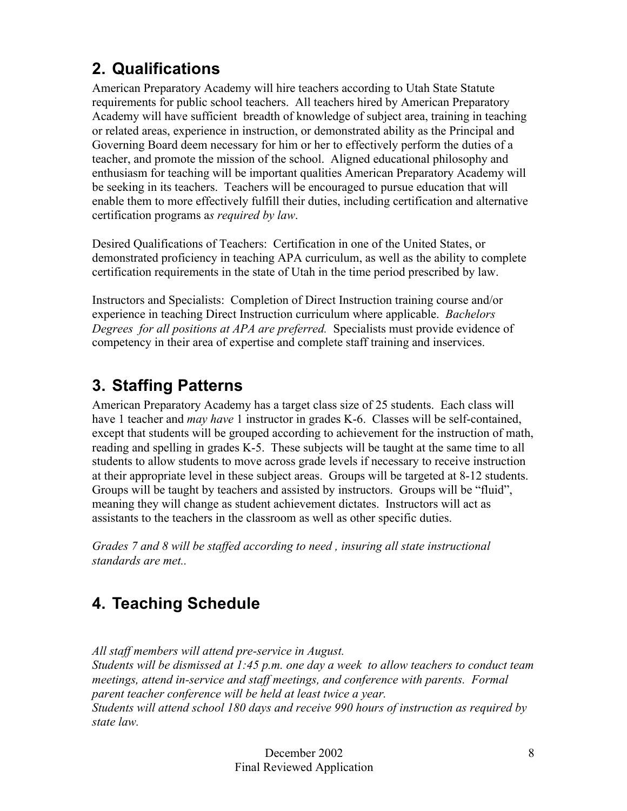## **2. Qualifications**

American Preparatory Academy will hire teachers according to Utah State Statute requirements for public school teachers. All teachers hired by American Preparatory Academy will have sufficient breadth of knowledge of subject area, training in teaching or related areas, experience in instruction, or demonstrated ability as the Principal and Governing Board deem necessary for him or her to effectively perform the duties of a teacher, and promote the mission of the school. Aligned educational philosophy and enthusiasm for teaching will be important qualities American Preparatory Academy will be seeking in its teachers. Teachers will be encouraged to pursue education that will enable them to more effectively fulfill their duties, including certification and alternative certification programs a*s required by law*.

Desired Qualifications of Teachers: Certification in one of the United States, or demonstrated proficiency in teaching APA curriculum, as well as the ability to complete certification requirements in the state of Utah in the time period prescribed by law.

Instructors and Specialists: Completion of Direct Instruction training course and/or experience in teaching Direct Instruction curriculum where applicable. *Bachelors Degrees for all positions at APA are preferred.* Specialists must provide evidence of competency in their area of expertise and complete staff training and inservices.

## **3. Staffing Patterns**

American Preparatory Academy has a target class size of 25 students. Each class will have 1 teacher and *may have* 1 instructor in grades K-6. Classes will be self-contained, except that students will be grouped according to achievement for the instruction of math, reading and spelling in grades K-5. These subjects will be taught at the same time to all students to allow students to move across grade levels if necessary to receive instruction at their appropriate level in these subject areas. Groups will be targeted at 8-12 students. Groups will be taught by teachers and assisted by instructors. Groups will be "fluid", meaning they will change as student achievement dictates. Instructors will act as assistants to the teachers in the classroom as well as other specific duties.

*Grades 7 and 8 will be staffed according to need , insuring all state instructional standards are met..*

## **4. Teaching Schedule**

*All staff members will attend pre-service in August.* 

*Students will be dismissed at 1:45 p.m. one day a week to allow teachers to conduct team meetings, attend in-service and staff meetings, and conference with parents. Formal parent teacher conference will be held at least twice a year. Students will attend school 180 days and receive 990 hours of instruction as required by state law.*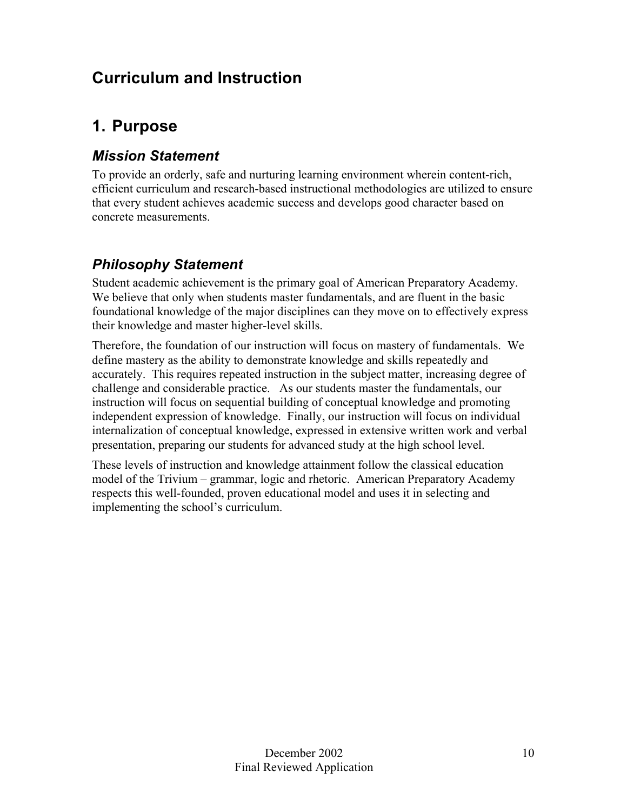### **Curriculum and Instruction**

### **1. Purpose**

### *Mission Statement*

To provide an orderly, safe and nurturing learning environment wherein content-rich, efficient curriculum and research-based instructional methodologies are utilized to ensure that every student achieves academic success and develops good character based on concrete measurements.

### *Philosophy Statement*

Student academic achievement is the primary goal of American Preparatory Academy. We believe that only when students master fundamentals, and are fluent in the basic foundational knowledge of the major disciplines can they move on to effectively express their knowledge and master higher-level skills.

Therefore, the foundation of our instruction will focus on mastery of fundamentals. We define mastery as the ability to demonstrate knowledge and skills repeatedly and accurately. This requires repeated instruction in the subject matter, increasing degree of challenge and considerable practice. As our students master the fundamentals, our instruction will focus on sequential building of conceptual knowledge and promoting independent expression of knowledge. Finally, our instruction will focus on individual internalization of conceptual knowledge, expressed in extensive written work and verbal presentation, preparing our students for advanced study at the high school level.

These levels of instruction and knowledge attainment follow the classical education model of the Trivium – grammar, logic and rhetoric. American Preparatory Academy respects this well-founded, proven educational model and uses it in selecting and implementing the school's curriculum.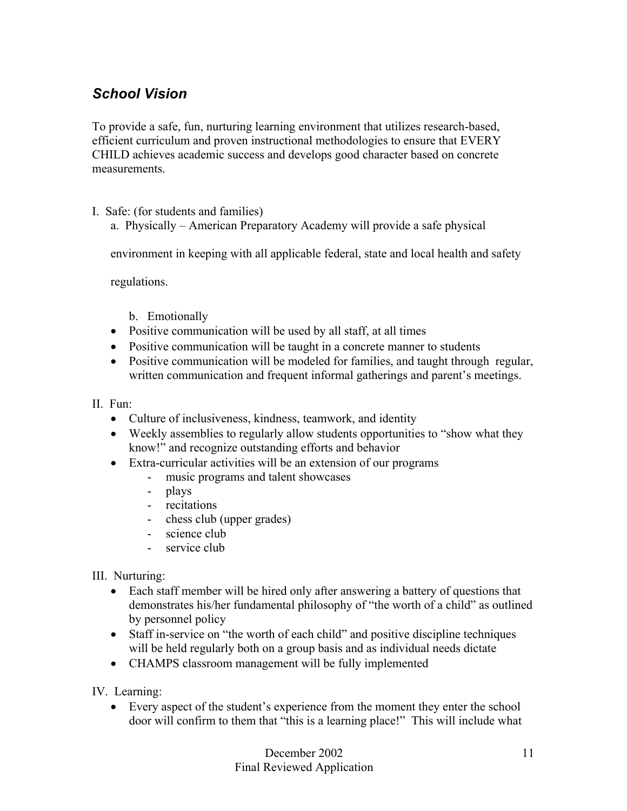### *School Vision*

To provide a safe, fun, nurturing learning environment that utilizes research-based, efficient curriculum and proven instructional methodologies to ensure that EVERY CHILD achieves academic success and develops good character based on concrete measurements.

#### I. Safe: (for students and families)

a. Physically – American Preparatory Academy will provide a safe physical

environment in keeping with all applicable federal, state and local health and safety

regulations.

- b. Emotionally
- Positive communication will be used by all staff, at all times
- Positive communication will be taught in a concrete manner to students
- Positive communication will be modeled for families, and taught through regular, written communication and frequent informal gatherings and parent's meetings.

#### II. Fun:

- Culture of inclusiveness, kindness, teamwork, and identity
- Weekly assemblies to regularly allow students opportunities to "show what they know!" and recognize outstanding efforts and behavior
- Extra-curricular activities will be an extension of our programs
	- music programs and talent showcases
	- plays
	- recitations
	- chess club (upper grades)
	- science club
	- service club

III. Nurturing:

- Each staff member will be hired only after answering a battery of questions that demonstrates his/her fundamental philosophy of "the worth of a child" as outlined by personnel policy
- Staff in-service on "the worth of each child" and positive discipline techniques will be held regularly both on a group basis and as individual needs dictate
- CHAMPS classroom management will be fully implemented

IV. Learning:

• Every aspect of the student's experience from the moment they enter the school door will confirm to them that "this is a learning place!" This will include what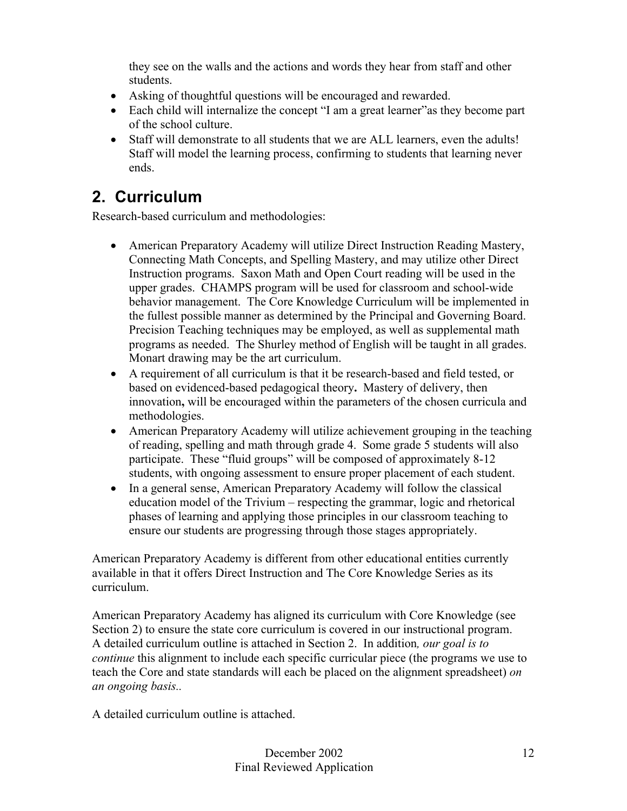they see on the walls and the actions and words they hear from staff and other students.

- Asking of thoughtful questions will be encouraged and rewarded.
- Each child will internalize the concept "I am a great learner" as they become part of the school culture.
- Staff will demonstrate to all students that we are ALL learners, even the adults! Staff will model the learning process, confirming to students that learning never ends.

### **2. Curriculum**

Research-based curriculum and methodologies:

- American Preparatory Academy will utilize Direct Instruction Reading Mastery, Connecting Math Concepts, and Spelling Mastery, and may utilize other Direct Instruction programs. Saxon Math and Open Court reading will be used in the upper grades. CHAMPS program will be used for classroom and school-wide behavior management. The Core Knowledge Curriculum will be implemented in the fullest possible manner as determined by the Principal and Governing Board. Precision Teaching techniques may be employed, as well as supplemental math programs as needed. The Shurley method of English will be taught in all grades. Monart drawing may be the art curriculum.
- A requirement of all curriculum is that it be research-based and field tested, or based on evidenced-based pedagogical theory**.** Mastery of delivery, then innovation**,** will be encouraged within the parameters of the chosen curricula and methodologies.
- American Preparatory Academy will utilize achievement grouping in the teaching of reading, spelling and math through grade 4. Some grade 5 students will also participate. These "fluid groups" will be composed of approximately 8-12 students, with ongoing assessment to ensure proper placement of each student.
- In a general sense, American Preparatory Academy will follow the classical education model of the Trivium – respecting the grammar, logic and rhetorical phases of learning and applying those principles in our classroom teaching to ensure our students are progressing through those stages appropriately.

American Preparatory Academy is different from other educational entities currently available in that it offers Direct Instruction and The Core Knowledge Series as its curriculum.

American Preparatory Academy has aligned its curriculum with Core Knowledge (see Section 2) to ensure the state core curriculum is covered in our instructional program. A detailed curriculum outline is attached in Section 2. In addition*, our goal is to continue* this alignment to include each specific curricular piece (the programs we use to teach the Core and state standards will each be placed on the alignment spreadsheet) *on an ongoing basis..*

A detailed curriculum outline is attached.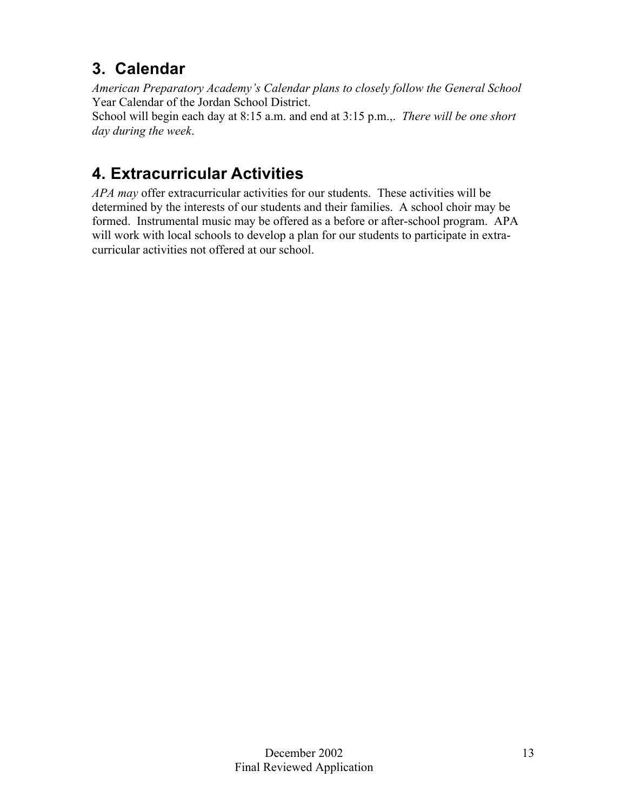## **3. Calendar**

*American Preparatory Academy's Calendar plans to closely follow the General School* Year Calendar of the Jordan School District.

School will begin each day at 8:15 a.m. and end at 3:15 p.m.,. *There will be one short day during the week*.

## **4. Extracurricular Activities**

*APA may* offer extracurricular activities for our students. These activities will be determined by the interests of our students and their families. A school choir may be formed. Instrumental music may be offered as a before or after-school program. APA will work with local schools to develop a plan for our students to participate in extracurricular activities not offered at our school.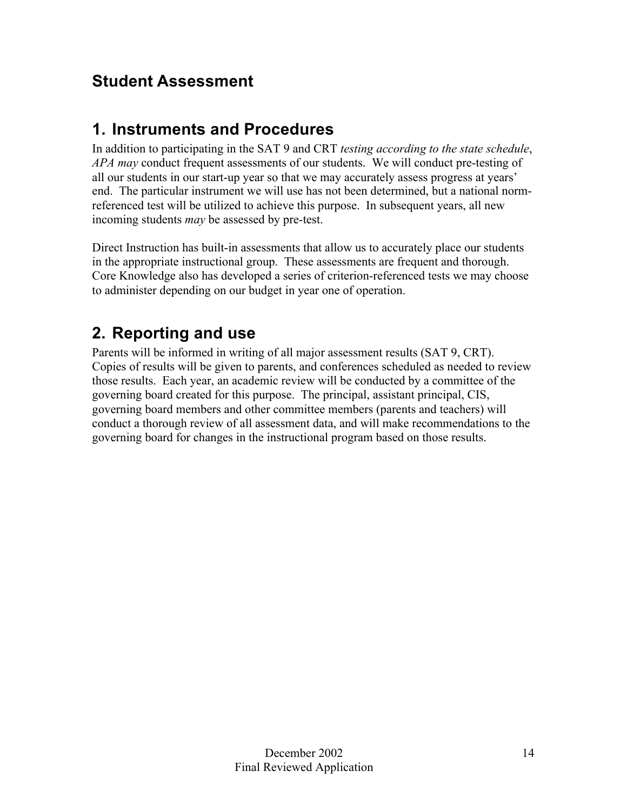## **Student Assessment**

### **1. Instruments and Procedures**

In addition to participating in the SAT 9 and CRT *testing according to the state schedule*, *APA may* conduct frequent assessments of our students. We will conduct pre-testing of all our students in our start-up year so that we may accurately assess progress at years' end. The particular instrument we will use has not been determined, but a national normreferenced test will be utilized to achieve this purpose. In subsequent years, all new incoming students *may* be assessed by pre-test.

Direct Instruction has built-in assessments that allow us to accurately place our students in the appropriate instructional group. These assessments are frequent and thorough. Core Knowledge also has developed a series of criterion-referenced tests we may choose to administer depending on our budget in year one of operation.

### **2. Reporting and use**

Parents will be informed in writing of all major assessment results (SAT 9, CRT). Copies of results will be given to parents, and conferences scheduled as needed to review those results. Each year, an academic review will be conducted by a committee of the governing board created for this purpose. The principal, assistant principal, CIS, governing board members and other committee members (parents and teachers) will conduct a thorough review of all assessment data, and will make recommendations to the governing board for changes in the instructional program based on those results.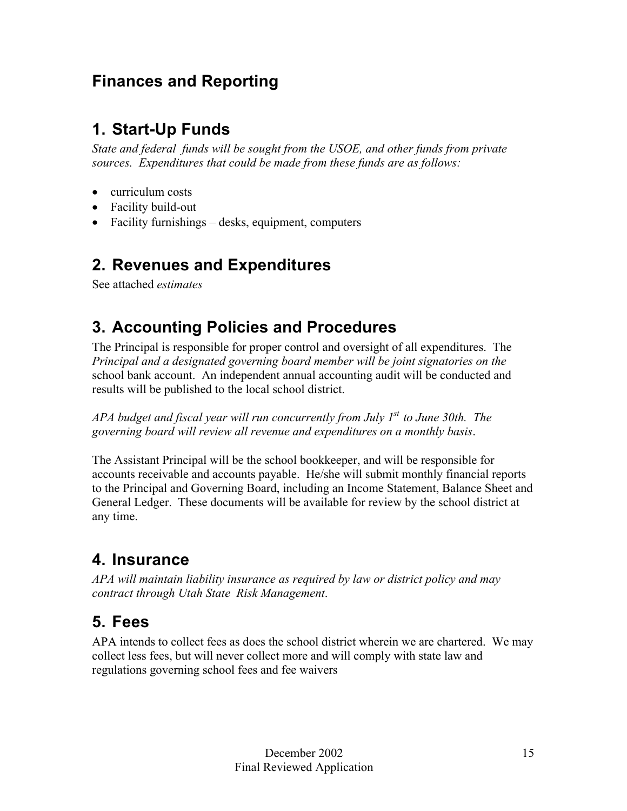### **Finances and Reporting**

### **1. Start-Up Funds**

*State and federal funds will be sought from the USOE, and other funds from private sources. Expenditures that could be made from these funds are as follows:*

- curriculum costs
- Facility build-out
- Facility furnishings desks, equipment, computers

### **2. Revenues and Expenditures**

See attached *estimates*

### **3. Accounting Policies and Procedures**

The Principal is responsible for proper control and oversight of all expenditures. The *Principal and a designated governing board member will be joint signatories on the* school bank account. An independent annual accounting audit will be conducted and results will be published to the local school district.

*APA budget and fiscal year will run concurrently from July 1st to June 30th. The governing board will review all revenue and expenditures on a monthly basis*.

The Assistant Principal will be the school bookkeeper, and will be responsible for accounts receivable and accounts payable. He/she will submit monthly financial reports to the Principal and Governing Board, including an Income Statement, Balance Sheet and General Ledger. These documents will be available for review by the school district at any time.

### **4. Insurance**

*APA will maintain liability insurance as required by law or district policy and may contract through Utah State Risk Management*.

### **5. Fees**

APA intends to collect fees as does the school district wherein we are chartered. We may collect less fees, but will never collect more and will comply with state law and regulations governing school fees and fee waivers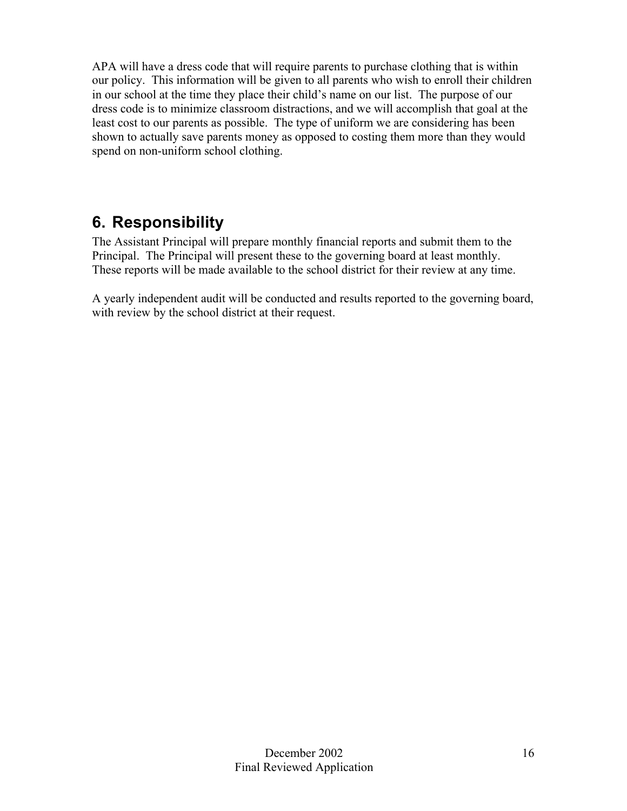APA will have a dress code that will require parents to purchase clothing that is within our policy. This information will be given to all parents who wish to enroll their children in our school at the time they place their child's name on our list. The purpose of our dress code is to minimize classroom distractions, and we will accomplish that goal at the least cost to our parents as possible. The type of uniform we are considering has been shown to actually save parents money as opposed to costing them more than they would spend on non-uniform school clothing.

### **6. Responsibility**

The Assistant Principal will prepare monthly financial reports and submit them to the Principal. The Principal will present these to the governing board at least monthly. These reports will be made available to the school district for their review at any time.

A yearly independent audit will be conducted and results reported to the governing board, with review by the school district at their request.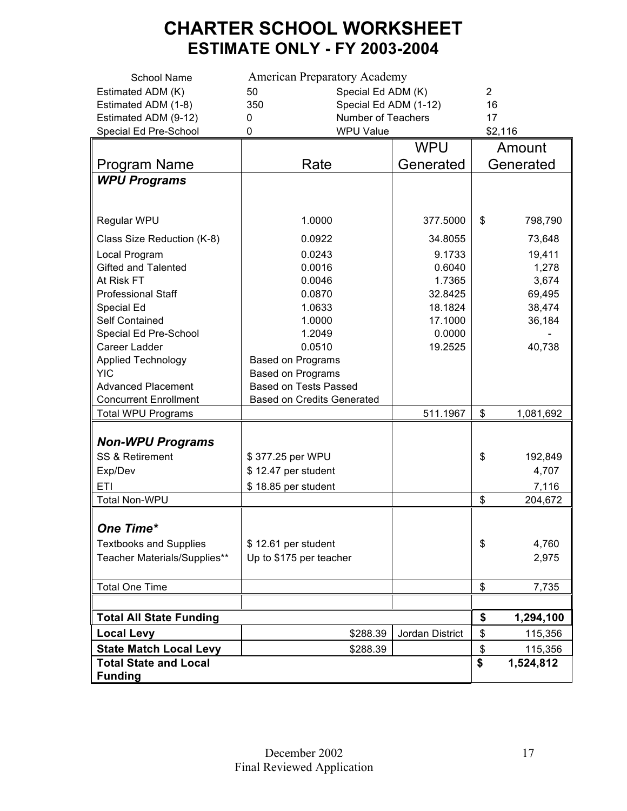## **CHARTER SCHOOL WORKSHEET ESTIMATE ONLY - FY 2003-2004**

| <b>School Name</b>             | <b>American Preparatory Academy</b> |                 |           |           |  |
|--------------------------------|-------------------------------------|-----------------|-----------|-----------|--|
| Estimated ADM (K)              | Special Ed ADM (K)<br>50            | $\overline{2}$  |           |           |  |
| Estimated ADM (1-8)            | 350<br>Special Ed ADM (1-12)        |                 |           | 16        |  |
| Estimated ADM (9-12)           | Number of Teachers<br>0             |                 |           |           |  |
| Special Ed Pre-School          | <b>WPU Value</b><br>0               |                 |           | \$2,116   |  |
|                                |                                     | <b>WPU</b>      |           | Amount    |  |
| Program Name                   | Rate                                | Generated       | Generated |           |  |
| <b>WPU Programs</b>            |                                     |                 |           |           |  |
|                                |                                     |                 |           |           |  |
|                                |                                     |                 |           |           |  |
| Regular WPU                    | 1.0000                              | 377.5000        | \$        | 798,790   |  |
| Class Size Reduction (K-8)     | 0.0922                              | 34.8055         |           | 73,648    |  |
| Local Program                  | 0.0243                              | 9.1733          |           | 19,411    |  |
| Gifted and Talented            | 0.0016                              | 0.6040          |           | 1,278     |  |
| At Risk FT                     | 0.0046                              | 1.7365          |           | 3,674     |  |
| <b>Professional Staff</b>      | 0.0870                              | 32.8425         |           | 69,495    |  |
| Special Ed                     | 1.0633                              | 18.1824         |           | 38,474    |  |
| <b>Self Contained</b>          | 1.0000                              | 17.1000         |           | 36,184    |  |
| Special Ed Pre-School          | 1.2049                              | 0.0000          |           |           |  |
| Career Ladder                  | 0.0510                              | 19.2525         |           | 40,738    |  |
| <b>Applied Technology</b>      | <b>Based on Programs</b>            |                 |           |           |  |
| <b>YIC</b>                     | <b>Based on Programs</b>            |                 |           |           |  |
| <b>Advanced Placement</b>      | <b>Based on Tests Passed</b>        |                 |           |           |  |
| <b>Concurrent Enrollment</b>   | <b>Based on Credits Generated</b>   |                 |           |           |  |
| <b>Total WPU Programs</b>      |                                     | 511.1967        | \$        | 1,081,692 |  |
|                                |                                     |                 |           |           |  |
| <b>Non-WPU Programs</b>        |                                     |                 |           |           |  |
| SS & Retirement                | \$377.25 per WPU                    |                 | \$        | 192,849   |  |
| Exp/Dev                        | \$12.47 per student                 |                 |           | 4,707     |  |
| ETI                            | \$18.85 per student                 |                 |           | 7,116     |  |
| <b>Total Non-WPU</b>           |                                     |                 | \$        | 204,672   |  |
|                                |                                     |                 |           |           |  |
| One Time*                      |                                     |                 |           |           |  |
| <b>Textbooks and Supplies</b>  | \$12.61 per student                 |                 | \$        | 4,760     |  |
| Teacher Materials/Supplies**   | Up to \$175 per teacher             |                 |           | 2,975     |  |
|                                |                                     |                 |           |           |  |
| <b>Total One Time</b>          |                                     |                 | \$        | 7,735     |  |
|                                |                                     |                 |           |           |  |
| <b>Total All State Funding</b> | \$                                  | 1,294,100       |           |           |  |
| <b>Local Levy</b>              | \$288.39                            | Jordan District | \$        | 115,356   |  |
| <b>State Match Local Levy</b>  | \$288.39                            |                 | \$        | 115,356   |  |
| <b>Total State and Local</b>   | \$                                  | 1,524,812       |           |           |  |
| <b>Funding</b>                 |                                     |                 |           |           |  |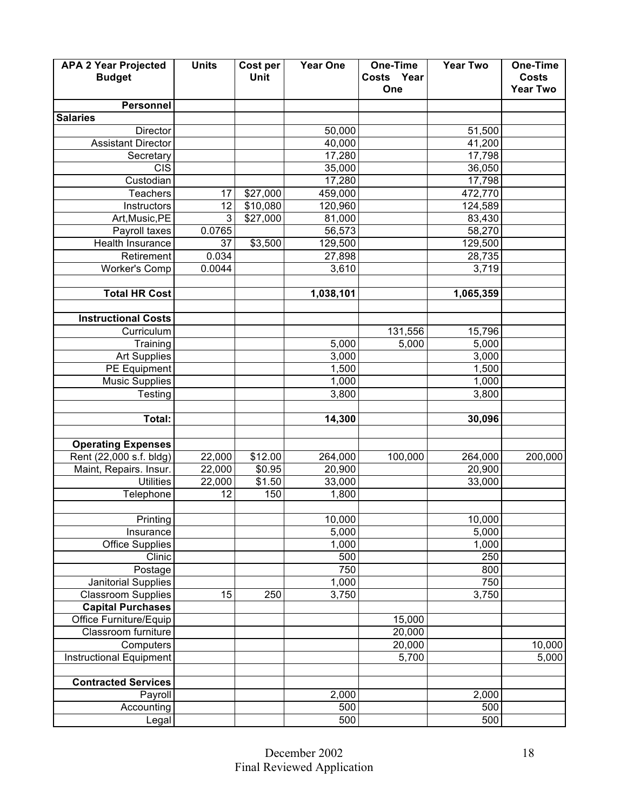| <b>APA 2 Year Projected</b>    | <b>Units</b> | Cost per | <b>Year One</b> | One-Time   | <b>Year Two</b> | One-Time        |
|--------------------------------|--------------|----------|-----------------|------------|-----------------|-----------------|
| <b>Budget</b>                  |              | Unit     |                 | Costs Year |                 | <b>Costs</b>    |
|                                |              |          |                 | One        |                 | <b>Year Two</b> |
| <b>Personnel</b>               |              |          |                 |            |                 |                 |
| <b>Salaries</b>                |              |          |                 |            |                 |                 |
| Director                       |              |          | 50,000          |            | 51,500          |                 |
| <b>Assistant Director</b>      |              |          | 40,000          |            | 41,200          |                 |
| Secretary                      |              |          | 17,280          |            | 17,798          |                 |
| <b>CIS</b>                     |              |          | 35,000          |            | 36,050          |                 |
| Custodian                      |              |          | 17,280          |            | 17,798          |                 |
| Teachers                       | 17           | \$27,000 | 459,000         |            | 472,770         |                 |
| Instructors                    | 12           | \$10,080 | 120,960         |            | 124,589         |                 |
| Art, Music, PE                 | 3            | \$27,000 | 81,000          |            | 83,430          |                 |
| Payroll taxes                  | 0.0765       |          | 56,573          |            | 58,270          |                 |
| Health Insurance               | 37           | \$3,500  | 129,500         |            | 129,500         |                 |
| Retirement                     | 0.034        |          | 27,898          |            | 28,735          |                 |
| <b>Worker's Comp</b>           | 0.0044       |          | 3,610           |            | 3,719           |                 |
|                                |              |          |                 |            |                 |                 |
| <b>Total HR Cost</b>           |              |          | 1,038,101       |            | 1,065,359       |                 |
|                                |              |          |                 |            |                 |                 |
| <b>Instructional Costs</b>     |              |          |                 |            |                 |                 |
| Curriculum                     |              |          |                 | 131,556    | 15,796          |                 |
| Training                       |              |          | 5,000           | 5,000      | 5,000           |                 |
| <b>Art Supplies</b>            |              |          | 3,000           |            | 3,000           |                 |
| <b>PE Equipment</b>            |              |          | 1,500           |            | 1,500           |                 |
| <b>Music Supplies</b>          |              |          | 1,000           |            | 1,000           |                 |
| Testing                        |              |          | 3,800           |            | 3,800           |                 |
|                                |              |          |                 |            |                 |                 |
| Total:                         |              |          | 14,300          |            | 30,096          |                 |
|                                |              |          |                 |            |                 |                 |
| <b>Operating Expenses</b>      |              |          |                 |            |                 |                 |
| Rent (22,000 s.f. bldg)        | 22,000       | \$12.00  | 264,000         | 100,000    | 264,000         | 200,000         |
| Maint, Repairs. Insur.         | 22,000       | \$0.95   | 20,900          |            | 20,900          |                 |
| <b>Utilities</b>               | 22,000       | \$1.50   | 33,000          |            | 33,000          |                 |
| Telephone                      | 12           | 150      | 1,800           |            |                 |                 |
|                                |              |          |                 |            |                 |                 |
| Printing                       |              |          | 10,000          |            | 10,000          |                 |
| Insurance                      |              |          | 5,000           |            | 5,000           |                 |
| <b>Office Supplies</b>         |              |          | 1,000           |            | 1,000           |                 |
| Clinic                         |              |          | 500             |            | 250             |                 |
| Postage                        |              |          | 750             |            | 800             |                 |
| Janitorial Supplies            |              |          | 1,000           |            | 750             |                 |
| <b>Classroom Supplies</b>      | 15           | 250      | 3,750           |            | 3,750           |                 |
| <b>Capital Purchases</b>       |              |          |                 |            |                 |                 |
| Office Furniture/Equip         |              |          |                 | 15,000     |                 |                 |
| Classroom furniture            |              |          |                 | 20,000     |                 |                 |
| Computers                      |              |          |                 | 20,000     |                 | 10,000          |
| <b>Instructional Equipment</b> |              |          |                 | 5,700      |                 | 5,000           |
|                                |              |          |                 |            |                 |                 |
| <b>Contracted Services</b>     |              |          |                 |            |                 |                 |
| Payroll                        |              |          | 2,000           |            | 2,000           |                 |
| Accounting                     |              |          | 500             |            | 500             |                 |
| Legal                          |              |          | 500             |            | 500             |                 |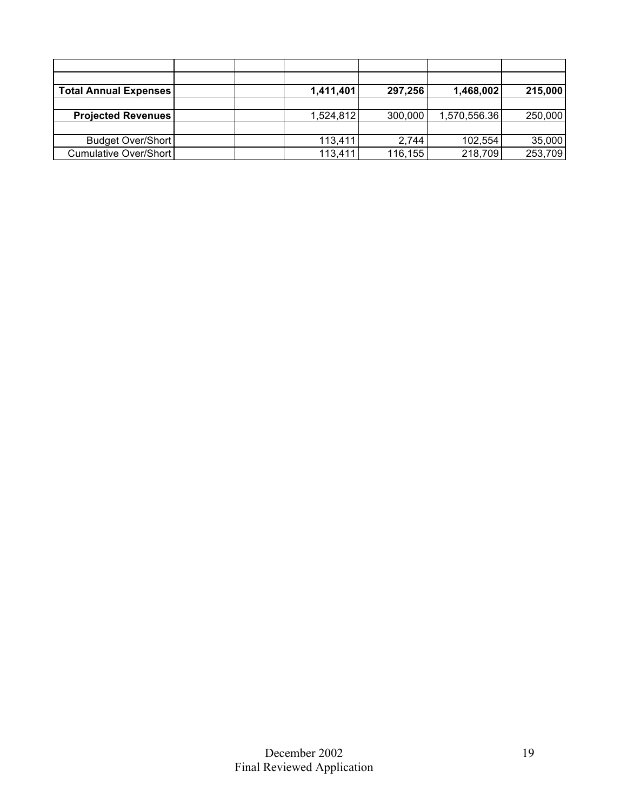| <b>Total Annual Expenses</b> |  | 1,411,401 | 297,256 | 1,468,002    | 215,000 |
|------------------------------|--|-----------|---------|--------------|---------|
|                              |  |           |         |              |         |
| <b>Projected Revenues</b>    |  | 1,524,812 | 300,000 | 1,570,556.36 | 250,000 |
|                              |  |           |         |              |         |
| <b>Budget Over/Short</b>     |  | 113,411   | 2,744   | 102,554      | 35,000  |
| Cumulative Over/Short        |  | 113,411   | 116,155 | 218,709      | 253,709 |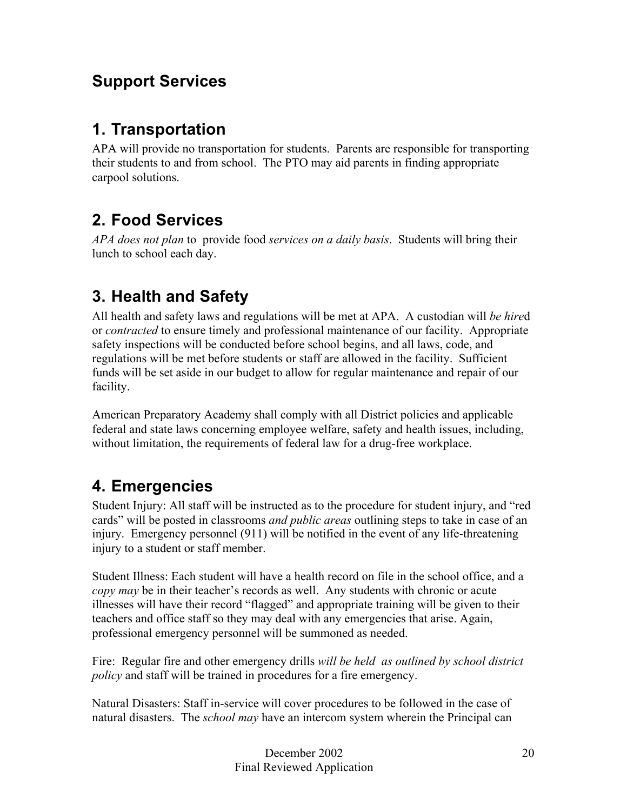## **Support Services**

## **1. Transportation**

APA will provide no transportation for students. Parents are responsible for transporting their students to and from school. The PTO may aid parents in finding appropriate carpool solutions.

### **2. Food Services**

*APA does not plan* to provide food *services on a daily basis*. Students will bring their lunch to school each day.

### **3. Health and Safety**

All health and safety laws and regulations will be met at APA. A custodian will *be hire*d or *contracted* to ensure timely and professional maintenance of our facility. Appropriate safety inspections will be conducted before school begins, and all laws, code, and regulations will be met before students or staff are allowed in the facility. Sufficient funds will be set aside in our budget to allow for regular maintenance and repair of our facility.

American Preparatory Academy shall comply with all District policies and applicable federal and state laws concerning employee welfare, safety and health issues, including, without limitation, the requirements of federal law for a drug-free workplace.

## **4. Emergencies**

Student Injury: All staff will be instructed as to the procedure for student injury, and "red cards" will be posted in classrooms *and public areas* outlining steps to take in case of an injury. Emergency personnel (911) will be notified in the event of any life-threatening injury to a student or staff member.

Student Illness: Each student will have a health record on file in the school office, and a *copy may* be in their teacher's records as well. Any students with chronic or acute illnesses will have their record "flagged" and appropriate training will be given to their teachers and office staff so they may deal with any emergencies that arise. Again, professional emergency personnel will be summoned as needed.

Fire: Regular fire and other emergency drills *will be held as outlined by school district policy* and staff will be trained in procedures for a fire emergency.

Natural Disasters: Staff in-service will cover procedures to be followed in the case of natural disasters. The *school may* have an intercom system wherein the Principal can